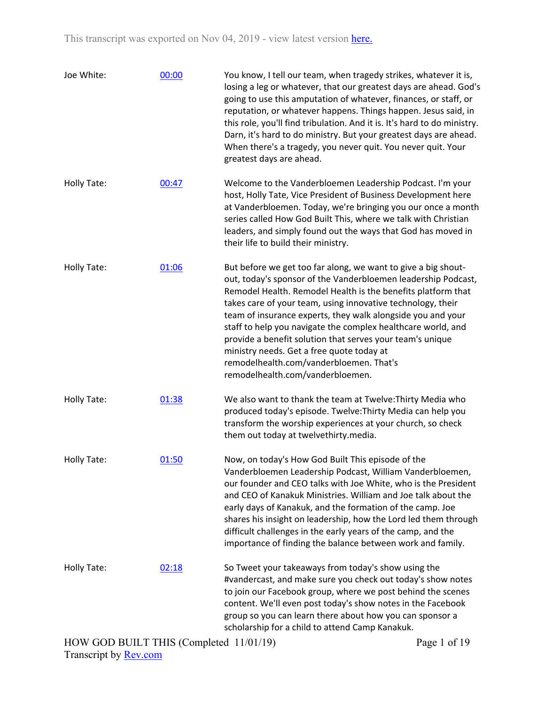| Joe White:         | 00:00 | You know, I tell our team, when tragedy strikes, whatever it is,<br>losing a leg or whatever, that our greatest days are ahead. God's<br>going to use this amputation of whatever, finances, or staff, or<br>reputation, or whatever happens. Things happen. Jesus said, in<br>this role, you'll find tribulation. And it is. It's hard to do ministry.<br>Darn, it's hard to do ministry. But your greatest days are ahead.<br>When there's a tragedy, you never quit. You never quit. Your<br>greatest days are ahead.                                                              |
|--------------------|-------|---------------------------------------------------------------------------------------------------------------------------------------------------------------------------------------------------------------------------------------------------------------------------------------------------------------------------------------------------------------------------------------------------------------------------------------------------------------------------------------------------------------------------------------------------------------------------------------|
| Holly Tate:        | 00:47 | Welcome to the Vanderbloemen Leadership Podcast. I'm your<br>host, Holly Tate, Vice President of Business Development here<br>at Vanderbloemen. Today, we're bringing you our once a month<br>series called How God Built This, where we talk with Christian<br>leaders, and simply found out the ways that God has moved in<br>their life to build their ministry.                                                                                                                                                                                                                   |
| Holly Tate:        | 01:06 | But before we get too far along, we want to give a big shout-<br>out, today's sponsor of the Vanderbloemen leadership Podcast,<br>Remodel Health. Remodel Health is the benefits platform that<br>takes care of your team, using innovative technology, their<br>team of insurance experts, they walk alongside you and your<br>staff to help you navigate the complex healthcare world, and<br>provide a benefit solution that serves your team's unique<br>ministry needs. Get a free quote today at<br>remodelhealth.com/vanderbloemen. That's<br>remodelhealth.com/vanderbloemen. |
| <b>Holly Tate:</b> | 01:38 | We also want to thank the team at Twelve: Thirty Media who<br>produced today's episode. Twelve: Thirty Media can help you<br>transform the worship experiences at your church, so check<br>them out today at twelvethirty.media.                                                                                                                                                                                                                                                                                                                                                      |
| Holly Tate:        | 01:50 | Now, on today's How God Built This episode of the<br>Vanderbloemen Leadership Podcast, William Vanderbloemen,<br>our founder and CEO talks with Joe White, who is the President<br>and CEO of Kanakuk Ministries. William and Joe talk about the<br>early days of Kanakuk, and the formation of the camp. Joe<br>shares his insight on leadership, how the Lord led them through<br>difficult challenges in the early years of the camp, and the<br>importance of finding the balance between work and family.                                                                        |
| Holly Tate:        | 02:18 | So Tweet your takeaways from today's show using the<br>#vandercast, and make sure you check out today's show notes<br>to join our Facebook group, where we post behind the scenes<br>content. We'll even post today's show notes in the Facebook<br>group so you can learn there about how you can sponsor a<br>scholarship for a child to attend Camp Kanakuk.                                                                                                                                                                                                                       |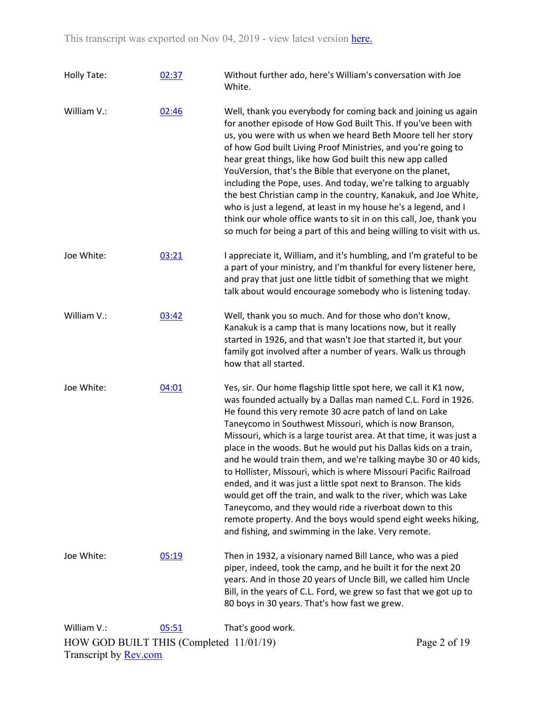| Holly Tate:                             | 02:37 | Without further ado, here's William's conversation with Joe<br>White.                                                                                                                                                                                                                                                                                                                                                                                                                                                                                                                                                                                                                                                                                                                                                                                            |              |
|-----------------------------------------|-------|------------------------------------------------------------------------------------------------------------------------------------------------------------------------------------------------------------------------------------------------------------------------------------------------------------------------------------------------------------------------------------------------------------------------------------------------------------------------------------------------------------------------------------------------------------------------------------------------------------------------------------------------------------------------------------------------------------------------------------------------------------------------------------------------------------------------------------------------------------------|--------------|
| William V.:                             | 02:46 | Well, thank you everybody for coming back and joining us again<br>for another episode of How God Built This. If you've been with<br>us, you were with us when we heard Beth Moore tell her story<br>of how God built Living Proof Ministries, and you're going to<br>hear great things, like how God built this new app called<br>YouVersion, that's the Bible that everyone on the planet,<br>including the Pope, uses. And today, we're talking to arguably<br>the best Christian camp in the country, Kanakuk, and Joe White,<br>who is just a legend, at least in my house he's a legend, and I<br>think our whole office wants to sit in on this call, Joe, thank you<br>so much for being a part of this and being willing to visit with us.                                                                                                               |              |
| Joe White:                              | 03:21 | I appreciate it, William, and it's humbling, and I'm grateful to be<br>a part of your ministry, and I'm thankful for every listener here,<br>and pray that just one little tidbit of something that we might<br>talk about would encourage somebody who is listening today.                                                                                                                                                                                                                                                                                                                                                                                                                                                                                                                                                                                      |              |
| William V.:                             | 03:42 | Well, thank you so much. And for those who don't know,<br>Kanakuk is a camp that is many locations now, but it really<br>started in 1926, and that wasn't Joe that started it, but your<br>family got involved after a number of years. Walk us through<br>how that all started.                                                                                                                                                                                                                                                                                                                                                                                                                                                                                                                                                                                 |              |
| Joe White:                              | 04:01 | Yes, sir. Our home flagship little spot here, we call it K1 now,<br>was founded actually by a Dallas man named C.L. Ford in 1926.<br>He found this very remote 30 acre patch of land on Lake<br>Taneycomo in Southwest Missouri, which is now Branson,<br>Missouri, which is a large tourist area. At that time, it was just a<br>place in the woods. But he would put his Dallas kids on a train,<br>and he would train them, and we're talking maybe 30 or 40 kids,<br>to Hollister, Missouri, which is where Missouri Pacific Railroad<br>ended, and it was just a little spot next to Branson. The kids<br>would get off the train, and walk to the river, which was Lake<br>Taneycomo, and they would ride a riverboat down to this<br>remote property. And the boys would spend eight weeks hiking,<br>and fishing, and swimming in the lake. Very remote. |              |
| Joe White:                              | 05:19 | Then in 1932, a visionary named Bill Lance, who was a pied<br>piper, indeed, took the camp, and he built it for the next 20<br>years. And in those 20 years of Uncle Bill, we called him Uncle<br>Bill, in the years of C.L. Ford, we grew so fast that we got up to<br>80 boys in 30 years. That's how fast we grew.                                                                                                                                                                                                                                                                                                                                                                                                                                                                                                                                            |              |
| William V.:                             | 05:51 | That's good work.                                                                                                                                                                                                                                                                                                                                                                                                                                                                                                                                                                                                                                                                                                                                                                                                                                                |              |
| HOW GOD BUILT THIS (Completed 11/01/19) |       |                                                                                                                                                                                                                                                                                                                                                                                                                                                                                                                                                                                                                                                                                                                                                                                                                                                                  | Page 2 of 19 |
| Transcript by <b>Rev.com</b>            |       |                                                                                                                                                                                                                                                                                                                                                                                                                                                                                                                                                                                                                                                                                                                                                                                                                                                                  |              |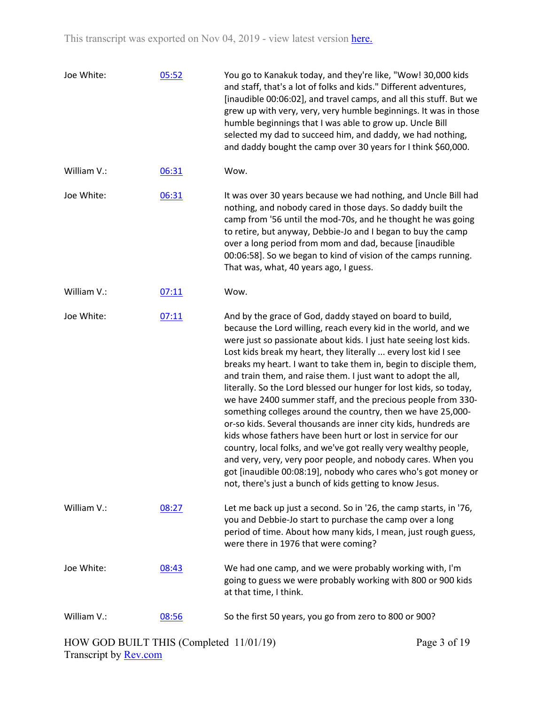| Joe White:  | 05:52 | You go to Kanakuk today, and they're like, "Wow! 30,000 kids<br>and staff, that's a lot of folks and kids." Different adventures,<br>[inaudible 00:06:02], and travel camps, and all this stuff. But we<br>grew up with very, very, very humble beginnings. It was in those<br>humble beginnings that I was able to grow up. Uncle Bill<br>selected my dad to succeed him, and daddy, we had nothing,<br>and daddy bought the camp over 30 years for I think \$60,000.                                                                                                                                                                                                                                                                                                                                                                                                                                                                                                                                         |
|-------------|-------|----------------------------------------------------------------------------------------------------------------------------------------------------------------------------------------------------------------------------------------------------------------------------------------------------------------------------------------------------------------------------------------------------------------------------------------------------------------------------------------------------------------------------------------------------------------------------------------------------------------------------------------------------------------------------------------------------------------------------------------------------------------------------------------------------------------------------------------------------------------------------------------------------------------------------------------------------------------------------------------------------------------|
| William V.: | 06:31 | Wow.                                                                                                                                                                                                                                                                                                                                                                                                                                                                                                                                                                                                                                                                                                                                                                                                                                                                                                                                                                                                           |
| Joe White:  | 06:31 | It was over 30 years because we had nothing, and Uncle Bill had<br>nothing, and nobody cared in those days. So daddy built the<br>camp from '56 until the mod-70s, and he thought he was going<br>to retire, but anyway, Debbie-Jo and I began to buy the camp<br>over a long period from mom and dad, because [inaudible<br>00:06:58]. So we began to kind of vision of the camps running.<br>That was, what, 40 years ago, I guess.                                                                                                                                                                                                                                                                                                                                                                                                                                                                                                                                                                          |
| William V.: | 07:11 | Wow.                                                                                                                                                                                                                                                                                                                                                                                                                                                                                                                                                                                                                                                                                                                                                                                                                                                                                                                                                                                                           |
| Joe White:  | 07:11 | And by the grace of God, daddy stayed on board to build,<br>because the Lord willing, reach every kid in the world, and we<br>were just so passionate about kids. I just hate seeing lost kids.<br>Lost kids break my heart, they literally  every lost kid I see<br>breaks my heart. I want to take them in, begin to disciple them,<br>and train them, and raise them. I just want to adopt the all,<br>literally. So the Lord blessed our hunger for lost kids, so today,<br>we have 2400 summer staff, and the precious people from 330-<br>something colleges around the country, then we have 25,000-<br>or-so kids. Several thousands are inner city kids, hundreds are<br>kids whose fathers have been hurt or lost in service for our<br>country, local folks, and we've got really very wealthy people,<br>and very, very, very poor people, and nobody cares. When you<br>got [inaudible 00:08:19], nobody who cares who's got money or<br>not, there's just a bunch of kids getting to know Jesus. |
| William V.: | 08:27 | Let me back up just a second. So in '26, the camp starts, in '76,<br>you and Debbie-Jo start to purchase the camp over a long<br>period of time. About how many kids, I mean, just rough guess,<br>were there in 1976 that were coming?                                                                                                                                                                                                                                                                                                                                                                                                                                                                                                                                                                                                                                                                                                                                                                        |
| Joe White:  | 08:43 | We had one camp, and we were probably working with, I'm<br>going to guess we were probably working with 800 or 900 kids<br>at that time, I think.                                                                                                                                                                                                                                                                                                                                                                                                                                                                                                                                                                                                                                                                                                                                                                                                                                                              |
| William V.: | 08:56 | So the first 50 years, you go from zero to 800 or 900?                                                                                                                                                                                                                                                                                                                                                                                                                                                                                                                                                                                                                                                                                                                                                                                                                                                                                                                                                         |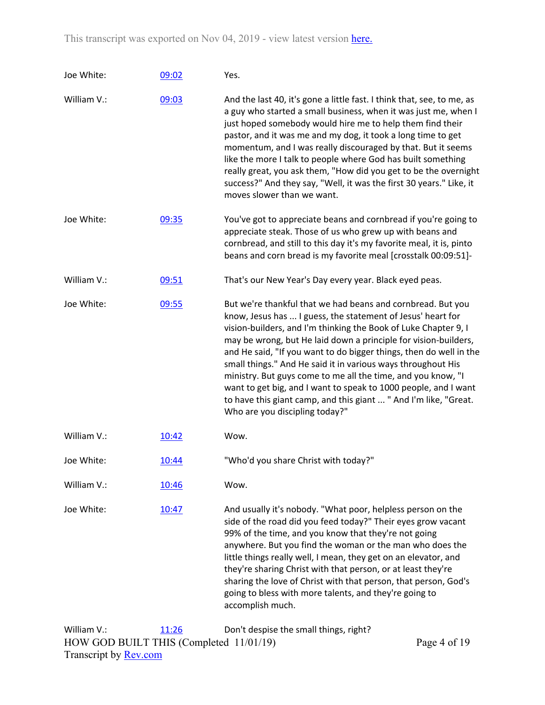| Joe White:  | 09:02 | Yes.                                                                                                                                                                                                                                                                                                                                                                                                                                                                                                                                                                                                                                            |
|-------------|-------|-------------------------------------------------------------------------------------------------------------------------------------------------------------------------------------------------------------------------------------------------------------------------------------------------------------------------------------------------------------------------------------------------------------------------------------------------------------------------------------------------------------------------------------------------------------------------------------------------------------------------------------------------|
| William V.: | 09:03 | And the last 40, it's gone a little fast. I think that, see, to me, as<br>a guy who started a small business, when it was just me, when I<br>just hoped somebody would hire me to help them find their<br>pastor, and it was me and my dog, it took a long time to get<br>momentum, and I was really discouraged by that. But it seems<br>like the more I talk to people where God has built something<br>really great, you ask them, "How did you get to be the overnight<br>success?" And they say, "Well, it was the first 30 years." Like, it<br>moves slower than we want.                                                                 |
| Joe White:  | 09:35 | You've got to appreciate beans and cornbread if you're going to<br>appreciate steak. Those of us who grew up with beans and<br>cornbread, and still to this day it's my favorite meal, it is, pinto<br>beans and corn bread is my favorite meal [crosstalk 00:09:51]-                                                                                                                                                                                                                                                                                                                                                                           |
| William V.: | 09:51 | That's our New Year's Day every year. Black eyed peas.                                                                                                                                                                                                                                                                                                                                                                                                                                                                                                                                                                                          |
| Joe White:  | 09:55 | But we're thankful that we had beans and cornbread. But you<br>know, Jesus has  I guess, the statement of Jesus' heart for<br>vision-builders, and I'm thinking the Book of Luke Chapter 9, I<br>may be wrong, but He laid down a principle for vision-builders,<br>and He said, "If you want to do bigger things, then do well in the<br>small things." And He said it in various ways throughout His<br>ministry. But guys come to me all the time, and you know, "I<br>want to get big, and I want to speak to 1000 people, and I want<br>to have this giant camp, and this giant  " And I'm like, "Great.<br>Who are you discipling today?" |
| William V.: | 10:42 | Wow.                                                                                                                                                                                                                                                                                                                                                                                                                                                                                                                                                                                                                                            |
| Joe White:  | 10:44 | "Who'd you share Christ with today?"                                                                                                                                                                                                                                                                                                                                                                                                                                                                                                                                                                                                            |
| William V.: | 10:46 | Wow.                                                                                                                                                                                                                                                                                                                                                                                                                                                                                                                                                                                                                                            |
| Joe White:  | 10:47 | And usually it's nobody. "What poor, helpless person on the<br>side of the road did you feed today?" Their eyes grow vacant<br>99% of the time, and you know that they're not going<br>anywhere. But you find the woman or the man who does the<br>little things really well, I mean, they get on an elevator, and<br>they're sharing Christ with that person, or at least they're<br>sharing the love of Christ with that person, that person, God's<br>going to bless with more talents, and they're going to<br>accomplish much.                                                                                                             |
| William V.: | 11:26 | Don't despise the small things, right?                                                                                                                                                                                                                                                                                                                                                                                                                                                                                                                                                                                                          |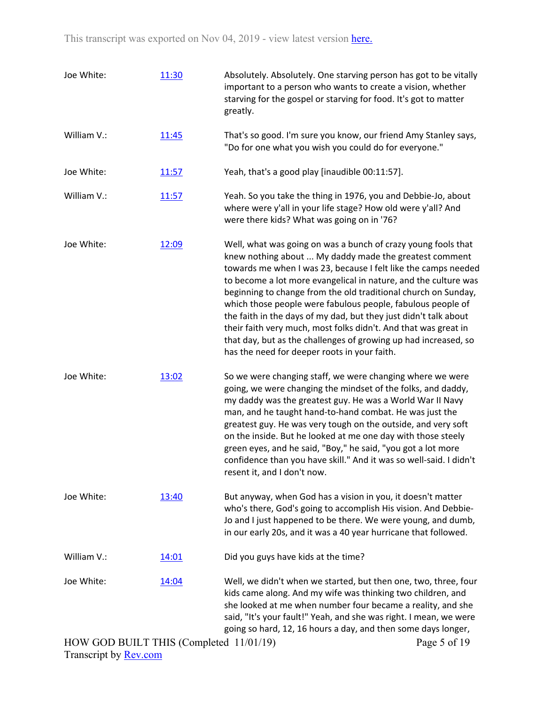| Joe White:                              | 11:30 | Absolutely. Absolutely. One starving person has got to be vitally<br>important to a person who wants to create a vision, whether<br>starving for the gospel or starving for food. It's got to matter<br>greatly.                                                                                                                                                                                                                                                                                                                                                                                                                                        |
|-----------------------------------------|-------|---------------------------------------------------------------------------------------------------------------------------------------------------------------------------------------------------------------------------------------------------------------------------------------------------------------------------------------------------------------------------------------------------------------------------------------------------------------------------------------------------------------------------------------------------------------------------------------------------------------------------------------------------------|
| William V.:                             | 11:45 | That's so good. I'm sure you know, our friend Amy Stanley says,<br>"Do for one what you wish you could do for everyone."                                                                                                                                                                                                                                                                                                                                                                                                                                                                                                                                |
| Joe White:                              | 11:57 | Yeah, that's a good play [inaudible 00:11:57].                                                                                                                                                                                                                                                                                                                                                                                                                                                                                                                                                                                                          |
| William V.:                             | 11:57 | Yeah. So you take the thing in 1976, you and Debbie-Jo, about<br>where were y'all in your life stage? How old were y'all? And<br>were there kids? What was going on in '76?                                                                                                                                                                                                                                                                                                                                                                                                                                                                             |
| Joe White:                              | 12:09 | Well, what was going on was a bunch of crazy young fools that<br>knew nothing about  My daddy made the greatest comment<br>towards me when I was 23, because I felt like the camps needed<br>to become a lot more evangelical in nature, and the culture was<br>beginning to change from the old traditional church on Sunday,<br>which those people were fabulous people, fabulous people of<br>the faith in the days of my dad, but they just didn't talk about<br>their faith very much, most folks didn't. And that was great in<br>that day, but as the challenges of growing up had increased, so<br>has the need for deeper roots in your faith. |
| Joe White:                              | 13:02 | So we were changing staff, we were changing where we were<br>going, we were changing the mindset of the folks, and daddy,<br>my daddy was the greatest guy. He was a World War II Navy<br>man, and he taught hand-to-hand combat. He was just the<br>greatest guy. He was very tough on the outside, and very soft<br>on the inside. But he looked at me one day with those steely<br>green eyes, and he said, "Boy," he said, "you got a lot more<br>confidence than you have skill." And it was so well-said. I didn't<br>resent it, and I don't now.                                                                                                 |
| Joe White:                              | 13:40 | But anyway, when God has a vision in you, it doesn't matter<br>who's there, God's going to accomplish His vision. And Debbie-<br>Jo and I just happened to be there. We were young, and dumb,<br>in our early 20s, and it was a 40 year hurricane that followed.                                                                                                                                                                                                                                                                                                                                                                                        |
| William V.:                             | 14:01 | Did you guys have kids at the time?                                                                                                                                                                                                                                                                                                                                                                                                                                                                                                                                                                                                                     |
| Joe White:                              | 14:04 | Well, we didn't when we started, but then one, two, three, four<br>kids came along. And my wife was thinking two children, and<br>she looked at me when number four became a reality, and she<br>said, "It's your fault!" Yeah, and she was right. I mean, we were<br>going so hard, 12, 16 hours a day, and then some days longer,                                                                                                                                                                                                                                                                                                                     |
| HOW GOD BUILT THIS (Completed 11/01/19) |       | Page 5 of 19                                                                                                                                                                                                                                                                                                                                                                                                                                                                                                                                                                                                                                            |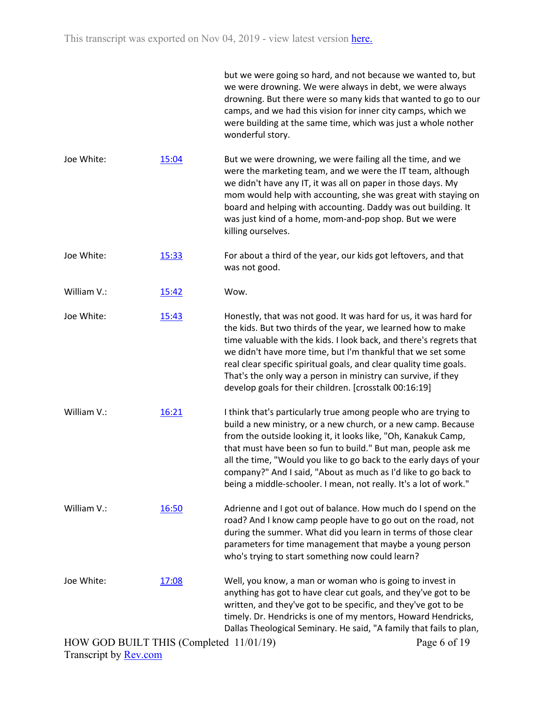|             |       | but we were going so hard, and not because we wanted to, but<br>we were drowning. We were always in debt, we were always<br>drowning. But there were so many kids that wanted to go to our<br>camps, and we had this vision for inner city camps, which we<br>were building at the same time, which was just a whole nother<br>wonderful story.                                                                                                                                 |
|-------------|-------|---------------------------------------------------------------------------------------------------------------------------------------------------------------------------------------------------------------------------------------------------------------------------------------------------------------------------------------------------------------------------------------------------------------------------------------------------------------------------------|
| Joe White:  | 15:04 | But we were drowning, we were failing all the time, and we<br>were the marketing team, and we were the IT team, although<br>we didn't have any IT, it was all on paper in those days. My<br>mom would help with accounting, she was great with staying on<br>board and helping with accounting. Daddy was out building. It<br>was just kind of a home, mom-and-pop shop. But we were<br>killing ourselves.                                                                      |
| Joe White:  | 15:33 | For about a third of the year, our kids got leftovers, and that<br>was not good.                                                                                                                                                                                                                                                                                                                                                                                                |
| William V.: | 15:42 | Wow.                                                                                                                                                                                                                                                                                                                                                                                                                                                                            |
| Joe White:  | 15:43 | Honestly, that was not good. It was hard for us, it was hard for<br>the kids. But two thirds of the year, we learned how to make<br>time valuable with the kids. I look back, and there's regrets that<br>we didn't have more time, but I'm thankful that we set some<br>real clear specific spiritual goals, and clear quality time goals.<br>That's the only way a person in ministry can survive, if they<br>develop goals for their children. [crosstalk 00:16:19]          |
| William V.: | 16:21 | I think that's particularly true among people who are trying to<br>build a new ministry, or a new church, or a new camp. Because<br>from the outside looking it, it looks like, "Oh, Kanakuk Camp,<br>that must have been so fun to build." But man, people ask me<br>all the time, "Would you like to go back to the early days of your<br>company?" And I said, "About as much as I'd like to go back to<br>being a middle-schooler. I mean, not really. It's a lot of work." |
| William V.: | 16:50 | Adrienne and I got out of balance. How much do I spend on the<br>road? And I know camp people have to go out on the road, not<br>during the summer. What did you learn in terms of those clear<br>parameters for time management that maybe a young person<br>who's trying to start something now could learn?                                                                                                                                                                  |
| Joe White:  | 17:08 | Well, you know, a man or woman who is going to invest in<br>anything has got to have clear cut goals, and they've got to be<br>written, and they've got to be specific, and they've got to be<br>timely. Dr. Hendricks is one of my mentors, Howard Hendricks,<br>Dallas Theological Seminary. He said, "A family that fails to plan,                                                                                                                                           |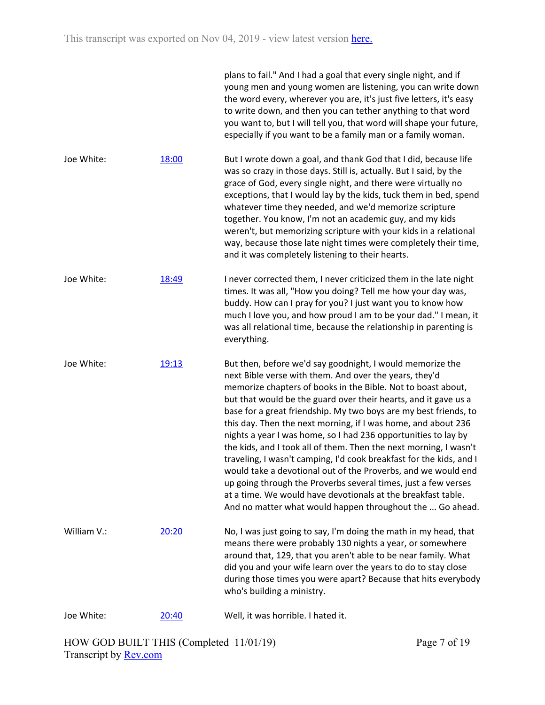|             |       | plans to fail." And I had a goal that every single night, and if<br>young men and young women are listening, you can write down<br>the word every, wherever you are, it's just five letters, it's easy<br>to write down, and then you can tether anything to that word<br>you want to, but I will tell you, that word will shape your future,<br>especially if you want to be a family man or a family woman.                                                                                                                                                                                                                                                                                                                                                                                                                                                             |
|-------------|-------|---------------------------------------------------------------------------------------------------------------------------------------------------------------------------------------------------------------------------------------------------------------------------------------------------------------------------------------------------------------------------------------------------------------------------------------------------------------------------------------------------------------------------------------------------------------------------------------------------------------------------------------------------------------------------------------------------------------------------------------------------------------------------------------------------------------------------------------------------------------------------|
| Joe White:  | 18:00 | But I wrote down a goal, and thank God that I did, because life<br>was so crazy in those days. Still is, actually. But I said, by the<br>grace of God, every single night, and there were virtually no<br>exceptions, that I would lay by the kids, tuck them in bed, spend<br>whatever time they needed, and we'd memorize scripture<br>together. You know, I'm not an academic guy, and my kids<br>weren't, but memorizing scripture with your kids in a relational<br>way, because those late night times were completely their time,<br>and it was completely listening to their hearts.                                                                                                                                                                                                                                                                              |
| Joe White:  | 18:49 | I never corrected them, I never criticized them in the late night<br>times. It was all, "How you doing? Tell me how your day was,<br>buddy. How can I pray for you? I just want you to know how<br>much I love you, and how proud I am to be your dad." I mean, it<br>was all relational time, because the relationship in parenting is<br>everything.                                                                                                                                                                                                                                                                                                                                                                                                                                                                                                                    |
| Joe White:  | 19:13 | But then, before we'd say goodnight, I would memorize the<br>next Bible verse with them. And over the years, they'd<br>memorize chapters of books in the Bible. Not to boast about,<br>but that would be the guard over their hearts, and it gave us a<br>base for a great friendship. My two boys are my best friends, to<br>this day. Then the next morning, if I was home, and about 236<br>nights a year I was home, so I had 236 opportunities to lay by<br>the kids, and I took all of them. Then the next morning, I wasn't<br>traveling, I wasn't camping, I'd cook breakfast for the kids, and I<br>would take a devotional out of the Proverbs, and we would end<br>up going through the Proverbs several times, just a few verses<br>at a time. We would have devotionals at the breakfast table.<br>And no matter what would happen throughout the  Go ahead. |
| William V.: | 20:20 | No, I was just going to say, I'm doing the math in my head, that<br>means there were probably 130 nights a year, or somewhere<br>around that, 129, that you aren't able to be near family. What<br>did you and your wife learn over the years to do to stay close<br>during those times you were apart? Because that hits everybody<br>who's building a ministry.                                                                                                                                                                                                                                                                                                                                                                                                                                                                                                         |
| Joe White:  | 20:40 | Well, it was horrible. I hated it.                                                                                                                                                                                                                                                                                                                                                                                                                                                                                                                                                                                                                                                                                                                                                                                                                                        |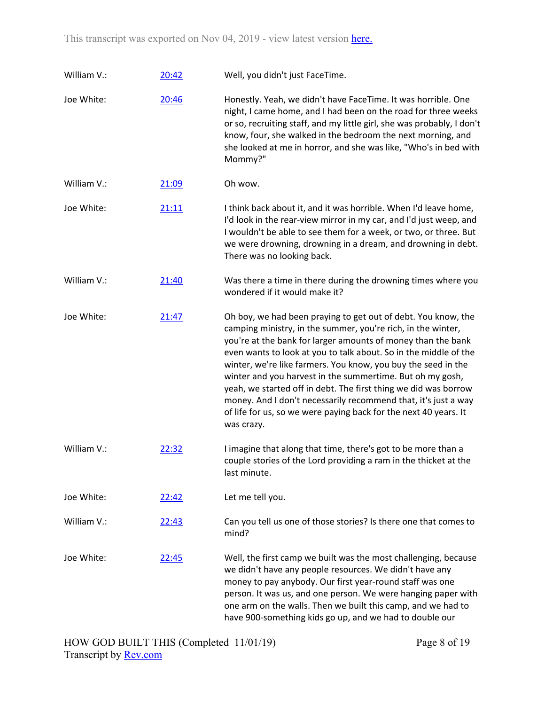| William V.: | 20:42 | Well, you didn't just FaceTime.                                                                                                                                                                                                                                                                                                                                                                                                                                                                                                                                                                                        |
|-------------|-------|------------------------------------------------------------------------------------------------------------------------------------------------------------------------------------------------------------------------------------------------------------------------------------------------------------------------------------------------------------------------------------------------------------------------------------------------------------------------------------------------------------------------------------------------------------------------------------------------------------------------|
| Joe White:  | 20:46 | Honestly. Yeah, we didn't have FaceTime. It was horrible. One<br>night, I came home, and I had been on the road for three weeks<br>or so, recruiting staff, and my little girl, she was probably, I don't<br>know, four, she walked in the bedroom the next morning, and<br>she looked at me in horror, and she was like, "Who's in bed with<br>Mommy?"                                                                                                                                                                                                                                                                |
| William V.: | 21:09 | Oh wow.                                                                                                                                                                                                                                                                                                                                                                                                                                                                                                                                                                                                                |
| Joe White:  | 21:11 | I think back about it, and it was horrible. When I'd leave home,<br>I'd look in the rear-view mirror in my car, and I'd just weep, and<br>I wouldn't be able to see them for a week, or two, or three. But<br>we were drowning, drowning in a dream, and drowning in debt.<br>There was no looking back.                                                                                                                                                                                                                                                                                                               |
| William V.: | 21:40 | Was there a time in there during the drowning times where you<br>wondered if it would make it?                                                                                                                                                                                                                                                                                                                                                                                                                                                                                                                         |
| Joe White:  | 21:47 | Oh boy, we had been praying to get out of debt. You know, the<br>camping ministry, in the summer, you're rich, in the winter,<br>you're at the bank for larger amounts of money than the bank<br>even wants to look at you to talk about. So in the middle of the<br>winter, we're like farmers. You know, you buy the seed in the<br>winter and you harvest in the summertime. But oh my gosh,<br>yeah, we started off in debt. The first thing we did was borrow<br>money. And I don't necessarily recommend that, it's just a way<br>of life for us, so we were paying back for the next 40 years. It<br>was crazy. |
| William V.: | 22:32 | I imagine that along that time, there's got to be more than a<br>couple stories of the Lord providing a ram in the thicket at the<br>last minute.                                                                                                                                                                                                                                                                                                                                                                                                                                                                      |
| Joe White:  | 22:42 | Let me tell you.                                                                                                                                                                                                                                                                                                                                                                                                                                                                                                                                                                                                       |
| William V.: | 22:43 | Can you tell us one of those stories? Is there one that comes to<br>mind?                                                                                                                                                                                                                                                                                                                                                                                                                                                                                                                                              |
| Joe White:  | 22:45 | Well, the first camp we built was the most challenging, because<br>we didn't have any people resources. We didn't have any<br>money to pay anybody. Our first year-round staff was one<br>person. It was us, and one person. We were hanging paper with<br>one arm on the walls. Then we built this camp, and we had to<br>have 900-something kids go up, and we had to double our                                                                                                                                                                                                                                     |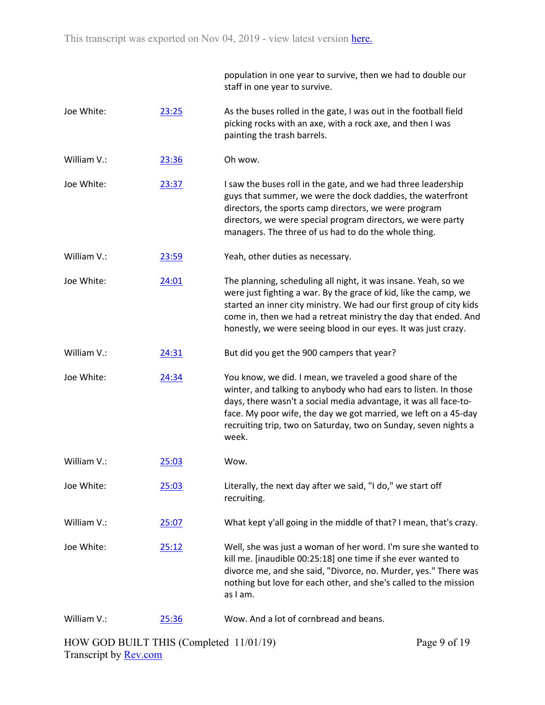|             |       | population in one year to survive, then we had to double our<br>staff in one year to survive.                                                                                                                                                                                                                                                   |
|-------------|-------|-------------------------------------------------------------------------------------------------------------------------------------------------------------------------------------------------------------------------------------------------------------------------------------------------------------------------------------------------|
| Joe White:  | 23:25 | As the buses rolled in the gate, I was out in the football field<br>picking rocks with an axe, with a rock axe, and then I was<br>painting the trash barrels.                                                                                                                                                                                   |
| William V.: | 23:36 | Oh wow.                                                                                                                                                                                                                                                                                                                                         |
| Joe White:  | 23:37 | I saw the buses roll in the gate, and we had three leadership<br>guys that summer, we were the dock daddies, the waterfront<br>directors, the sports camp directors, we were program<br>directors, we were special program directors, we were party<br>managers. The three of us had to do the whole thing.                                     |
| William V.: | 23:59 | Yeah, other duties as necessary.                                                                                                                                                                                                                                                                                                                |
| Joe White:  | 24:01 | The planning, scheduling all night, it was insane. Yeah, so we<br>were just fighting a war. By the grace of kid, like the camp, we<br>started an inner city ministry. We had our first group of city kids<br>come in, then we had a retreat ministry the day that ended. And<br>honestly, we were seeing blood in our eyes. It was just crazy.  |
| William V.: | 24:31 | But did you get the 900 campers that year?                                                                                                                                                                                                                                                                                                      |
| Joe White:  | 24:34 | You know, we did. I mean, we traveled a good share of the<br>winter, and talking to anybody who had ears to listen. In those<br>days, there wasn't a social media advantage, it was all face-to-<br>face. My poor wife, the day we got married, we left on a 45-day<br>recruiting trip, two on Saturday, two on Sunday, seven nights a<br>week. |
| William V.: | 25:03 | Wow.                                                                                                                                                                                                                                                                                                                                            |
| Joe White:  | 25:03 | Literally, the next day after we said, "I do," we start off<br>recruiting.                                                                                                                                                                                                                                                                      |
| William V.: | 25:07 | What kept y'all going in the middle of that? I mean, that's crazy.                                                                                                                                                                                                                                                                              |
| Joe White:  | 25:12 | Well, she was just a woman of her word. I'm sure she wanted to<br>kill me. [inaudible 00:25:18] one time if she ever wanted to<br>divorce me, and she said, "Divorce, no. Murder, yes." There was<br>nothing but love for each other, and she's called to the mission<br>as I am.                                                               |
| William V.: | 25:36 | Wow. And a lot of cornbread and beans.                                                                                                                                                                                                                                                                                                          |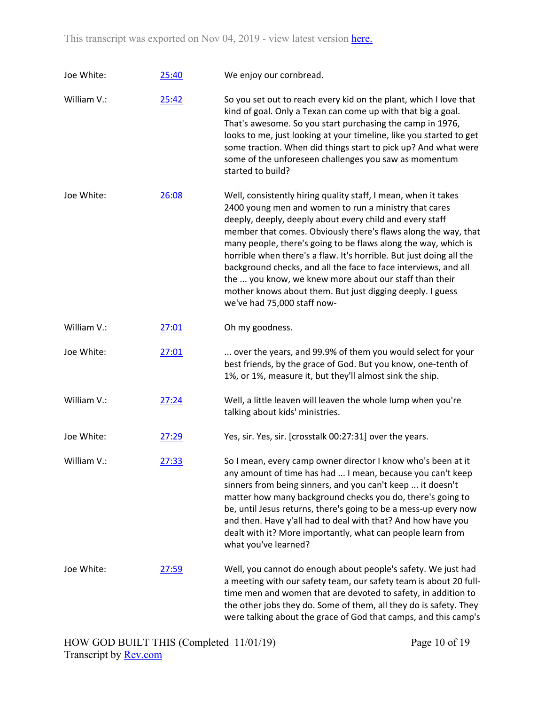| Joe White:  | 25:40 | We enjoy our cornbread.                                                                                                                                                                                                                                                                                                                                                                                                                                                                                                                                                                                                 |
|-------------|-------|-------------------------------------------------------------------------------------------------------------------------------------------------------------------------------------------------------------------------------------------------------------------------------------------------------------------------------------------------------------------------------------------------------------------------------------------------------------------------------------------------------------------------------------------------------------------------------------------------------------------------|
| William V.: | 25:42 | So you set out to reach every kid on the plant, which I love that<br>kind of goal. Only a Texan can come up with that big a goal.<br>That's awesome. So you start purchasing the camp in 1976,<br>looks to me, just looking at your timeline, like you started to get<br>some traction. When did things start to pick up? And what were<br>some of the unforeseen challenges you saw as momentum<br>started to build?                                                                                                                                                                                                   |
| Joe White:  | 26:08 | Well, consistently hiring quality staff, I mean, when it takes<br>2400 young men and women to run a ministry that cares<br>deeply, deeply, deeply about every child and every staff<br>member that comes. Obviously there's flaws along the way, that<br>many people, there's going to be flaws along the way, which is<br>horrible when there's a flaw. It's horrible. But just doing all the<br>background checks, and all the face to face interviews, and all<br>the  you know, we knew more about our staff than their<br>mother knows about them. But just digging deeply. I guess<br>we've had 75,000 staff now- |
| William V.: | 27:01 | Oh my goodness.                                                                                                                                                                                                                                                                                                                                                                                                                                                                                                                                                                                                         |
| Joe White:  | 27:01 | over the years, and 99.9% of them you would select for your<br>best friends, by the grace of God. But you know, one-tenth of<br>1%, or 1%, measure it, but they'll almost sink the ship.                                                                                                                                                                                                                                                                                                                                                                                                                                |
| William V.: | 27:24 | Well, a little leaven will leaven the whole lump when you're<br>talking about kids' ministries.                                                                                                                                                                                                                                                                                                                                                                                                                                                                                                                         |
| Joe White:  | 27:29 | Yes, sir. Yes, sir. [crosstalk 00:27:31] over the years.                                                                                                                                                                                                                                                                                                                                                                                                                                                                                                                                                                |
| William V.: | 27:33 | So I mean, every camp owner director I know who's been at it<br>any amount of time has had  I mean, because you can't keep<br>sinners from being sinners, and you can't keep  it doesn't<br>matter how many background checks you do, there's going to<br>be, until Jesus returns, there's going to be a mess-up every now<br>and then. Have y'all had to deal with that? And how have you<br>dealt with it? More importantly, what can people learn from<br>what you've learned?                                                                                                                                       |
| Joe White:  | 27:59 | Well, you cannot do enough about people's safety. We just had<br>a meeting with our safety team, our safety team is about 20 full-<br>time men and women that are devoted to safety, in addition to<br>the other jobs they do. Some of them, all they do is safety. They<br>were talking about the grace of God that camps, and this camp's                                                                                                                                                                                                                                                                             |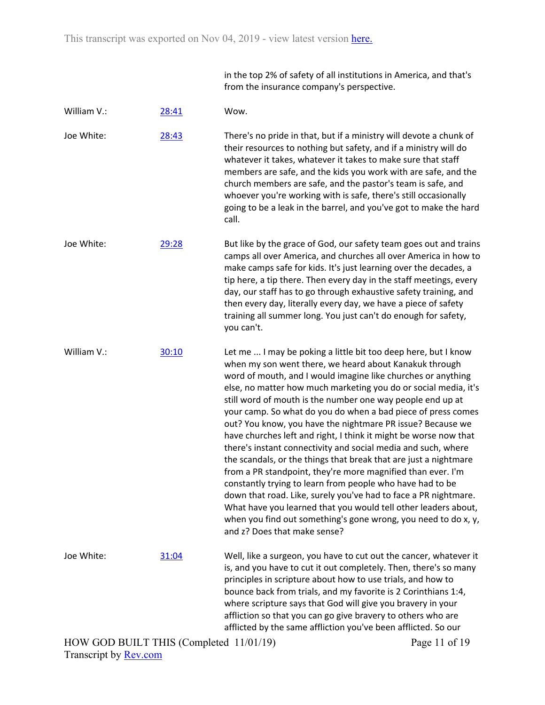in the top 2% of safety of all institutions in America, and that's from the insurance company's perspective.

| William V.:                             | 28:41 | Wow.                                                                                                                                                                                                                                                                                                                                                                                                                                                                                                                                                                                                                                                                                                                                                                                                                                                                                                                                                                                                                                |
|-----------------------------------------|-------|-------------------------------------------------------------------------------------------------------------------------------------------------------------------------------------------------------------------------------------------------------------------------------------------------------------------------------------------------------------------------------------------------------------------------------------------------------------------------------------------------------------------------------------------------------------------------------------------------------------------------------------------------------------------------------------------------------------------------------------------------------------------------------------------------------------------------------------------------------------------------------------------------------------------------------------------------------------------------------------------------------------------------------------|
| Joe White:                              | 28:43 | There's no pride in that, but if a ministry will devote a chunk of<br>their resources to nothing but safety, and if a ministry will do<br>whatever it takes, whatever it takes to make sure that staff<br>members are safe, and the kids you work with are safe, and the<br>church members are safe, and the pastor's team is safe, and<br>whoever you're working with is safe, there's still occasionally<br>going to be a leak in the barrel, and you've got to make the hard<br>call.                                                                                                                                                                                                                                                                                                                                                                                                                                                                                                                                            |
| Joe White:                              | 29:28 | But like by the grace of God, our safety team goes out and trains<br>camps all over America, and churches all over America in how to<br>make camps safe for kids. It's just learning over the decades, a<br>tip here, a tip there. Then every day in the staff meetings, every<br>day, our staff has to go through exhaustive safety training, and<br>then every day, literally every day, we have a piece of safety<br>training all summer long. You just can't do enough for safety,<br>you can't.                                                                                                                                                                                                                                                                                                                                                                                                                                                                                                                                |
| William V.:                             | 30:10 | Let me  I may be poking a little bit too deep here, but I know<br>when my son went there, we heard about Kanakuk through<br>word of mouth, and I would imagine like churches or anything<br>else, no matter how much marketing you do or social media, it's<br>still word of mouth is the number one way people end up at<br>your camp. So what do you do when a bad piece of press comes<br>out? You know, you have the nightmare PR issue? Because we<br>have churches left and right, I think it might be worse now that<br>there's instant connectivity and social media and such, where<br>the scandals, or the things that break that are just a nightmare<br>from a PR standpoint, they're more magnified than ever. I'm<br>constantly trying to learn from people who have had to be<br>down that road. Like, surely you've had to face a PR nightmare.<br>What have you learned that you would tell other leaders about,<br>when you find out something's gone wrong, you need to do x, y,<br>and z? Does that make sense? |
| Joe White:                              | 31:04 | Well, like a surgeon, you have to cut out the cancer, whatever it<br>is, and you have to cut it out completely. Then, there's so many<br>principles in scripture about how to use trials, and how to<br>bounce back from trials, and my favorite is 2 Corinthians 1:4,<br>where scripture says that God will give you bravery in your<br>affliction so that you can go give bravery to others who are<br>afflicted by the same affliction you've been afflicted. So our                                                                                                                                                                                                                                                                                                                                                                                                                                                                                                                                                             |
| HOW GOD BUILT THIS (Completed 11/01/19) |       | Page 11 of 19                                                                                                                                                                                                                                                                                                                                                                                                                                                                                                                                                                                                                                                                                                                                                                                                                                                                                                                                                                                                                       |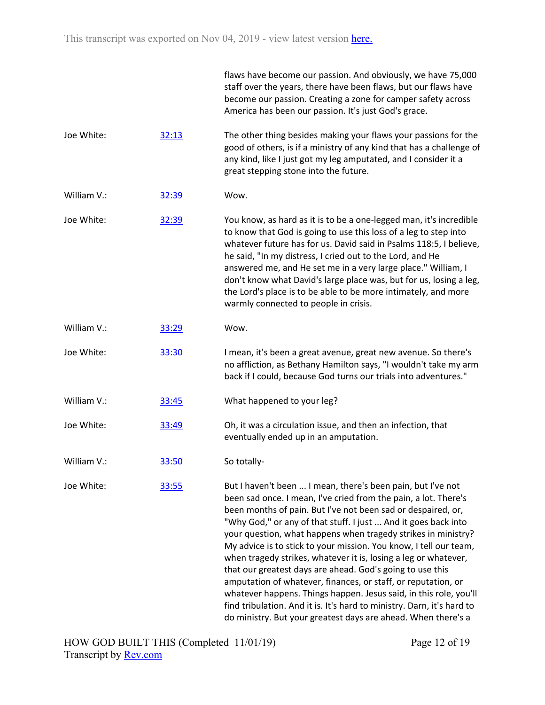|             |       | flaws have become our passion. And obviously, we have 75,000<br>staff over the years, there have been flaws, but our flaws have<br>become our passion. Creating a zone for camper safety across<br>America has been our passion. It's just God's grace.                                                                                                                                                                                                                                                                                                                                                                                                                                                                                                                                                                 |
|-------------|-------|-------------------------------------------------------------------------------------------------------------------------------------------------------------------------------------------------------------------------------------------------------------------------------------------------------------------------------------------------------------------------------------------------------------------------------------------------------------------------------------------------------------------------------------------------------------------------------------------------------------------------------------------------------------------------------------------------------------------------------------------------------------------------------------------------------------------------|
| Joe White:  | 32:13 | The other thing besides making your flaws your passions for the<br>good of others, is if a ministry of any kind that has a challenge of<br>any kind, like I just got my leg amputated, and I consider it a<br>great stepping stone into the future.                                                                                                                                                                                                                                                                                                                                                                                                                                                                                                                                                                     |
| William V.: | 32:39 | Wow.                                                                                                                                                                                                                                                                                                                                                                                                                                                                                                                                                                                                                                                                                                                                                                                                                    |
| Joe White:  | 32:39 | You know, as hard as it is to be a one-legged man, it's incredible<br>to know that God is going to use this loss of a leg to step into<br>whatever future has for us. David said in Psalms 118:5, I believe,<br>he said, "In my distress, I cried out to the Lord, and He<br>answered me, and He set me in a very large place." William, I<br>don't know what David's large place was, but for us, losing a leg,<br>the Lord's place is to be able to be more intimately, and more<br>warmly connected to people in crisis.                                                                                                                                                                                                                                                                                             |
| William V.: | 33:29 | Wow.                                                                                                                                                                                                                                                                                                                                                                                                                                                                                                                                                                                                                                                                                                                                                                                                                    |
| Joe White:  | 33:30 | I mean, it's been a great avenue, great new avenue. So there's<br>no affliction, as Bethany Hamilton says, "I wouldn't take my arm<br>back if I could, because God turns our trials into adventures."                                                                                                                                                                                                                                                                                                                                                                                                                                                                                                                                                                                                                   |
| William V.: | 33:45 | What happened to your leg?                                                                                                                                                                                                                                                                                                                                                                                                                                                                                                                                                                                                                                                                                                                                                                                              |
| Joe White:  | 33:49 | Oh, it was a circulation issue, and then an infection, that<br>eventually ended up in an amputation.                                                                                                                                                                                                                                                                                                                                                                                                                                                                                                                                                                                                                                                                                                                    |
| William V.: | 33:50 | So totally-                                                                                                                                                                                                                                                                                                                                                                                                                                                                                                                                                                                                                                                                                                                                                                                                             |
| Joe White:  | 33:55 | But I haven't been  I mean, there's been pain, but I've not<br>been sad once. I mean, I've cried from the pain, a lot. There's<br>been months of pain. But I've not been sad or despaired, or,<br>"Why God," or any of that stuff. I just  And it goes back into<br>your question, what happens when tragedy strikes in ministry?<br>My advice is to stick to your mission. You know, I tell our team,<br>when tragedy strikes, whatever it is, losing a leg or whatever,<br>that our greatest days are ahead. God's going to use this<br>amputation of whatever, finances, or staff, or reputation, or<br>whatever happens. Things happen. Jesus said, in this role, you'll<br>find tribulation. And it is. It's hard to ministry. Darn, it's hard to<br>do ministry. But your greatest days are ahead. When there's a |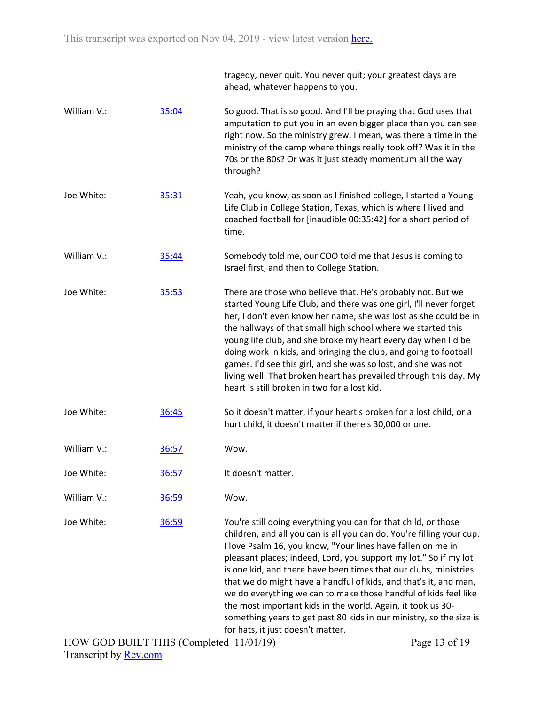|             |       | tragedy, never quit. You never quit; your greatest days are<br>ahead, whatever happens to you.                                                                                                                                                                                                                                                                                                                                                                                                                                                                                                                                                                   |
|-------------|-------|------------------------------------------------------------------------------------------------------------------------------------------------------------------------------------------------------------------------------------------------------------------------------------------------------------------------------------------------------------------------------------------------------------------------------------------------------------------------------------------------------------------------------------------------------------------------------------------------------------------------------------------------------------------|
| William V.: | 35:04 | So good. That is so good. And I'll be praying that God uses that<br>amputation to put you in an even bigger place than you can see<br>right now. So the ministry grew. I mean, was there a time in the<br>ministry of the camp where things really took off? Was it in the<br>70s or the 80s? Or was it just steady momentum all the way<br>through?                                                                                                                                                                                                                                                                                                             |
| Joe White:  | 35:31 | Yeah, you know, as soon as I finished college, I started a Young<br>Life Club in College Station, Texas, which is where I lived and<br>coached football for [inaudible 00:35:42] for a short period of<br>time.                                                                                                                                                                                                                                                                                                                                                                                                                                                  |
| William V.: | 35:44 | Somebody told me, our COO told me that Jesus is coming to<br>Israel first, and then to College Station.                                                                                                                                                                                                                                                                                                                                                                                                                                                                                                                                                          |
| Joe White:  | 35:53 | There are those who believe that. He's probably not. But we<br>started Young Life Club, and there was one girl, I'll never forget<br>her, I don't even know her name, she was lost as she could be in<br>the hallways of that small high school where we started this<br>young life club, and she broke my heart every day when I'd be<br>doing work in kids, and bringing the club, and going to football<br>games. I'd see this girl, and she was so lost, and she was not<br>living well. That broken heart has prevailed through this day. My<br>heart is still broken in two for a lost kid.                                                                |
| Joe White:  | 36:45 | So it doesn't matter, if your heart's broken for a lost child, or a<br>hurt child, it doesn't matter if there's 30,000 or one.                                                                                                                                                                                                                                                                                                                                                                                                                                                                                                                                   |
| William V.: | 36:57 | Wow.                                                                                                                                                                                                                                                                                                                                                                                                                                                                                                                                                                                                                                                             |
| Joe White:  | 36:57 | It doesn't matter.                                                                                                                                                                                                                                                                                                                                                                                                                                                                                                                                                                                                                                               |
| William V.: | 36:59 | Wow.                                                                                                                                                                                                                                                                                                                                                                                                                                                                                                                                                                                                                                                             |
| Joe White:  | 36:59 | You're still doing everything you can for that child, or those<br>children, and all you can is all you can do. You're filling your cup.<br>I love Psalm 16, you know, "Your lines have fallen on me in<br>pleasant places; indeed, Lord, you support my lot." So if my lot<br>is one kid, and there have been times that our clubs, ministries<br>that we do might have a handful of kids, and that's it, and man,<br>we do everything we can to make those handful of kids feel like<br>the most important kids in the world. Again, it took us 30-<br>something years to get past 80 kids in our ministry, so the size is<br>for hats, it just doesn't matter. |

Page 13 of 19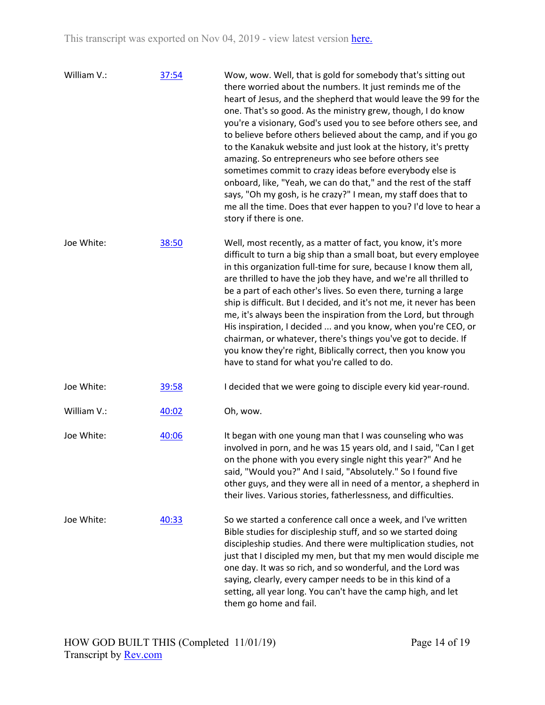| William V.: | 37:54 | Wow, wow. Well, that is gold for somebody that's sitting out<br>there worried about the numbers. It just reminds me of the<br>heart of Jesus, and the shepherd that would leave the 99 for the<br>one. That's so good. As the ministry grew, though, I do know<br>you're a visionary, God's used you to see before others see, and<br>to believe before others believed about the camp, and if you go<br>to the Kanakuk website and just look at the history, it's pretty<br>amazing. So entrepreneurs who see before others see<br>sometimes commit to crazy ideas before everybody else is<br>onboard, like, "Yeah, we can do that," and the rest of the staff<br>says, "Oh my gosh, is he crazy?" I mean, my staff does that to<br>me all the time. Does that ever happen to you? I'd love to hear a<br>story if there is one. |
|-------------|-------|-----------------------------------------------------------------------------------------------------------------------------------------------------------------------------------------------------------------------------------------------------------------------------------------------------------------------------------------------------------------------------------------------------------------------------------------------------------------------------------------------------------------------------------------------------------------------------------------------------------------------------------------------------------------------------------------------------------------------------------------------------------------------------------------------------------------------------------|
| Joe White:  | 38:50 | Well, most recently, as a matter of fact, you know, it's more<br>difficult to turn a big ship than a small boat, but every employee<br>in this organization full-time for sure, because I know them all,<br>are thrilled to have the job they have, and we're all thrilled to<br>be a part of each other's lives. So even there, turning a large<br>ship is difficult. But I decided, and it's not me, it never has been<br>me, it's always been the inspiration from the Lord, but through<br>His inspiration, I decided  and you know, when you're CEO, or<br>chairman, or whatever, there's things you've got to decide. If<br>you know they're right, Biblically correct, then you know you<br>have to stand for what you're called to do.                                                                                    |
| Joe White:  | 39:58 | I decided that we were going to disciple every kid year-round.                                                                                                                                                                                                                                                                                                                                                                                                                                                                                                                                                                                                                                                                                                                                                                    |
| William V.: | 40:02 | Oh, wow.                                                                                                                                                                                                                                                                                                                                                                                                                                                                                                                                                                                                                                                                                                                                                                                                                          |
| Joe White:  | 40:06 | It began with one young man that I was counseling who was<br>involved in porn, and he was 15 years old, and I said, "Can I get<br>on the phone with you every single night this year?" And he<br>said, "Would you?" And I said, "Absolutely." So I found five<br>other guys, and they were all in need of a mentor, a shepherd in<br>their lives. Various stories, fatherlessness, and difficulties.                                                                                                                                                                                                                                                                                                                                                                                                                              |
| Joe White:  | 40:33 | So we started a conference call once a week, and I've written<br>Bible studies for discipleship stuff, and so we started doing<br>discipleship studies. And there were multiplication studies, not<br>just that I discipled my men, but that my men would disciple me<br>one day. It was so rich, and so wonderful, and the Lord was<br>saying, clearly, every camper needs to be in this kind of a<br>setting, all year long. You can't have the camp high, and let<br>them go home and fail.                                                                                                                                                                                                                                                                                                                                    |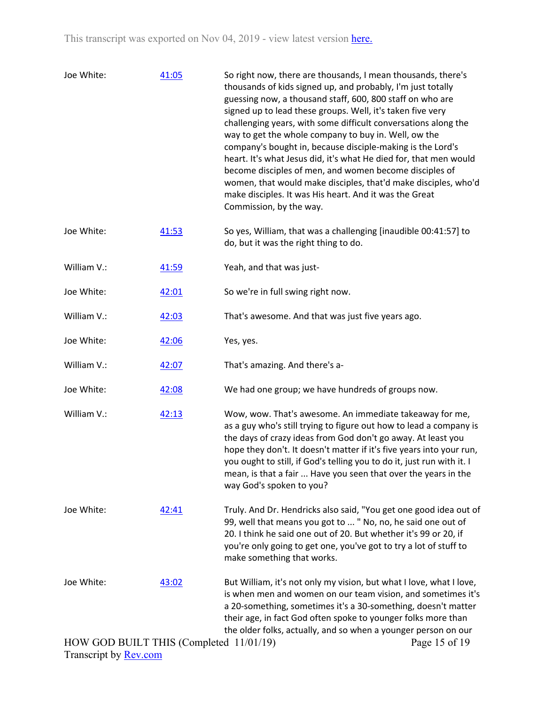| Joe White:                              | 41:05 | So right now, there are thousands, I mean thousands, there's<br>thousands of kids signed up, and probably, I'm just totally<br>guessing now, a thousand staff, 600, 800 staff on who are<br>signed up to lead these groups. Well, it's taken five very<br>challenging years, with some difficult conversations along the<br>way to get the whole company to buy in. Well, ow the<br>company's bought in, because disciple-making is the Lord's<br>heart. It's what Jesus did, it's what He died for, that men would<br>become disciples of men, and women become disciples of<br>women, that would make disciples, that'd make disciples, who'd<br>make disciples. It was His heart. And it was the Great<br>Commission, by the way. |
|-----------------------------------------|-------|--------------------------------------------------------------------------------------------------------------------------------------------------------------------------------------------------------------------------------------------------------------------------------------------------------------------------------------------------------------------------------------------------------------------------------------------------------------------------------------------------------------------------------------------------------------------------------------------------------------------------------------------------------------------------------------------------------------------------------------|
| Joe White:                              | 41:53 | So yes, William, that was a challenging [inaudible 00:41:57] to<br>do, but it was the right thing to do.                                                                                                                                                                                                                                                                                                                                                                                                                                                                                                                                                                                                                             |
| William V.:                             | 41:59 | Yeah, and that was just-                                                                                                                                                                                                                                                                                                                                                                                                                                                                                                                                                                                                                                                                                                             |
| Joe White:                              | 42:01 | So we're in full swing right now.                                                                                                                                                                                                                                                                                                                                                                                                                                                                                                                                                                                                                                                                                                    |
| William V.:                             | 42:03 | That's awesome. And that was just five years ago.                                                                                                                                                                                                                                                                                                                                                                                                                                                                                                                                                                                                                                                                                    |
| Joe White:                              | 42:06 | Yes, yes.                                                                                                                                                                                                                                                                                                                                                                                                                                                                                                                                                                                                                                                                                                                            |
| William V.:                             | 42:07 | That's amazing. And there's a-                                                                                                                                                                                                                                                                                                                                                                                                                                                                                                                                                                                                                                                                                                       |
| Joe White:                              | 42:08 | We had one group; we have hundreds of groups now.                                                                                                                                                                                                                                                                                                                                                                                                                                                                                                                                                                                                                                                                                    |
| William V.:                             | 42:13 | Wow, wow. That's awesome. An immediate takeaway for me,<br>as a guy who's still trying to figure out how to lead a company is<br>the days of crazy ideas from God don't go away. At least you<br>hope they don't. It doesn't matter if it's five years into your run,<br>you ought to still, if God's telling you to do it, just run with it. I<br>mean, is that a fair  Have you seen that over the years in the<br>way God's spoken to you?                                                                                                                                                                                                                                                                                        |
| Joe White:                              | 42:41 | Truly. And Dr. Hendricks also said, "You get one good idea out of<br>99, well that means you got to  " No, no, he said one out of<br>20. I think he said one out of 20. But whether it's 99 or 20, if<br>you're only going to get one, you've got to try a lot of stuff to<br>make something that works.                                                                                                                                                                                                                                                                                                                                                                                                                             |
| Joe White:                              | 43:02 | But William, it's not only my vision, but what I love, what I love,<br>is when men and women on our team vision, and sometimes it's<br>a 20-something, sometimes it's a 30-something, doesn't matter<br>their age, in fact God often spoke to younger folks more than<br>the older folks, actually, and so when a younger person on our                                                                                                                                                                                                                                                                                                                                                                                              |
| HOW GOD BUILT THIS (Completed 11/01/19) |       | Page 15 of 19                                                                                                                                                                                                                                                                                                                                                                                                                                                                                                                                                                                                                                                                                                                        |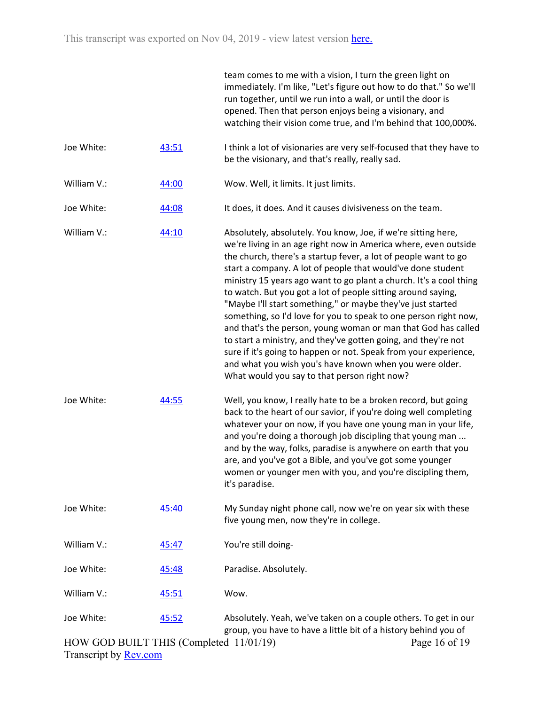|                                         |       | team comes to me with a vision, I turn the green light on<br>immediately. I'm like, "Let's figure out how to do that." So we'll<br>run together, until we run into a wall, or until the door is<br>opened. Then that person enjoys being a visionary, and<br>watching their vision come true, and I'm behind that 100,000%.                                                                                                                                                                                                                                                                                                                                                                                                                                                                                                                                   |
|-----------------------------------------|-------|---------------------------------------------------------------------------------------------------------------------------------------------------------------------------------------------------------------------------------------------------------------------------------------------------------------------------------------------------------------------------------------------------------------------------------------------------------------------------------------------------------------------------------------------------------------------------------------------------------------------------------------------------------------------------------------------------------------------------------------------------------------------------------------------------------------------------------------------------------------|
| Joe White:                              | 43:51 | I think a lot of visionaries are very self-focused that they have to<br>be the visionary, and that's really, really sad.                                                                                                                                                                                                                                                                                                                                                                                                                                                                                                                                                                                                                                                                                                                                      |
| William V.:                             | 44:00 | Wow. Well, it limits. It just limits.                                                                                                                                                                                                                                                                                                                                                                                                                                                                                                                                                                                                                                                                                                                                                                                                                         |
| Joe White:                              | 44:08 | It does, it does. And it causes divisiveness on the team.                                                                                                                                                                                                                                                                                                                                                                                                                                                                                                                                                                                                                                                                                                                                                                                                     |
| William V.:                             | 44:10 | Absolutely, absolutely. You know, Joe, if we're sitting here,<br>we're living in an age right now in America where, even outside<br>the church, there's a startup fever, a lot of people want to go<br>start a company. A lot of people that would've done student<br>ministry 15 years ago want to go plant a church. It's a cool thing<br>to watch. But you got a lot of people sitting around saying,<br>"Maybe I'll start something," or maybe they've just started<br>something, so I'd love for you to speak to one person right now,<br>and that's the person, young woman or man that God has called<br>to start a ministry, and they've gotten going, and they're not<br>sure if it's going to happen or not. Speak from your experience,<br>and what you wish you's have known when you were older.<br>What would you say to that person right now? |
| Joe White:                              | 44:55 | Well, you know, I really hate to be a broken record, but going<br>back to the heart of our savior, if you're doing well completing<br>whatever your on now, if you have one young man in your life,<br>and you're doing a thorough job discipling that young man<br>and by the way, folks, paradise is anywhere on earth that you<br>are, and you've got a Bible, and you've got some younger<br>women or younger men with you, and you're discipling them,<br>it's paradise.                                                                                                                                                                                                                                                                                                                                                                                 |
| Joe White:                              | 45:40 | My Sunday night phone call, now we're on year six with these<br>five young men, now they're in college.                                                                                                                                                                                                                                                                                                                                                                                                                                                                                                                                                                                                                                                                                                                                                       |
| William V.:                             | 45:47 | You're still doing-                                                                                                                                                                                                                                                                                                                                                                                                                                                                                                                                                                                                                                                                                                                                                                                                                                           |
| Joe White:                              | 45:48 | Paradise. Absolutely.                                                                                                                                                                                                                                                                                                                                                                                                                                                                                                                                                                                                                                                                                                                                                                                                                                         |
| William V.:                             | 45:51 | Wow.                                                                                                                                                                                                                                                                                                                                                                                                                                                                                                                                                                                                                                                                                                                                                                                                                                                          |
| Joe White:                              | 45:52 | Absolutely. Yeah, we've taken on a couple others. To get in our<br>group, you have to have a little bit of a history behind you of                                                                                                                                                                                                                                                                                                                                                                                                                                                                                                                                                                                                                                                                                                                            |
| HOW GOD BUILT THIS (Completed 11/01/19) |       | Page 16 of 19                                                                                                                                                                                                                                                                                                                                                                                                                                                                                                                                                                                                                                                                                                                                                                                                                                                 |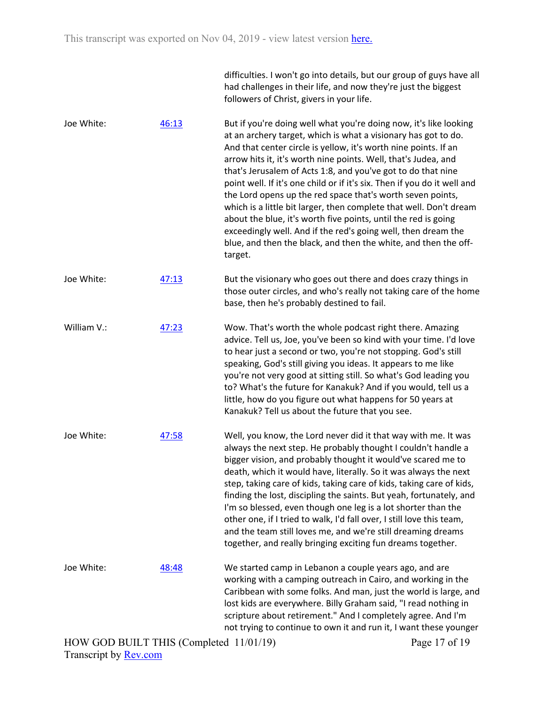|             |       | had challenges in their life, and now they're just the biggest<br>followers of Christ, givers in your life.                                                                                                                                                                                                                                                                                                                                                                                                                                                                                                                                                                                                                                                               |
|-------------|-------|---------------------------------------------------------------------------------------------------------------------------------------------------------------------------------------------------------------------------------------------------------------------------------------------------------------------------------------------------------------------------------------------------------------------------------------------------------------------------------------------------------------------------------------------------------------------------------------------------------------------------------------------------------------------------------------------------------------------------------------------------------------------------|
| Joe White:  | 46:13 | But if you're doing well what you're doing now, it's like looking<br>at an archery target, which is what a visionary has got to do.<br>And that center circle is yellow, it's worth nine points. If an<br>arrow hits it, it's worth nine points. Well, that's Judea, and<br>that's Jerusalem of Acts 1:8, and you've got to do that nine<br>point well. If it's one child or if it's six. Then if you do it well and<br>the Lord opens up the red space that's worth seven points,<br>which is a little bit larger, then complete that well. Don't dream<br>about the blue, it's worth five points, until the red is going<br>exceedingly well. And if the red's going well, then dream the<br>blue, and then the black, and then the white, and then the off-<br>target. |
| Joe White:  | 47:13 | But the visionary who goes out there and does crazy things in<br>those outer circles, and who's really not taking care of the home<br>base, then he's probably destined to fail.                                                                                                                                                                                                                                                                                                                                                                                                                                                                                                                                                                                          |
| William V.: | 47:23 | Wow. That's worth the whole podcast right there. Amazing<br>advice. Tell us, Joe, you've been so kind with your time. I'd love<br>to hear just a second or two, you're not stopping. God's still<br>speaking, God's still giving you ideas. It appears to me like<br>you're not very good at sitting still. So what's God leading you<br>to? What's the future for Kanakuk? And if you would, tell us a<br>little, how do you figure out what happens for 50 years at<br>Kanakuk? Tell us about the future that you see.                                                                                                                                                                                                                                                  |
| Joe White:  | 47:58 | Well, you know, the Lord never did it that way with me. It was<br>always the next step. He probably thought I couldn't handle a<br>bigger vision, and probably thought it would've scared me to<br>death, which it would have, literally. So it was always the next<br>step, taking care of kids, taking care of kids, taking care of kids,<br>finding the lost, discipling the saints. But yeah, fortunately, and<br>I'm so blessed, even though one leg is a lot shorter than the<br>other one, if I tried to walk, I'd fall over, I still love this team,<br>and the team still loves me, and we're still dreaming dreams<br>together, and really bringing exciting fun dreams together.                                                                               |
| Joe White:  | 48:48 | We started camp in Lebanon a couple years ago, and are<br>working with a camping outreach in Cairo, and working in the<br>Caribbean with some folks. And man, just the world is large, and<br>lost kids are everywhere. Billy Graham said, "I read nothing in<br>scripture about retirement." And I completely agree. And I'm<br>not trying to continue to own it and run it, I want these younger                                                                                                                                                                                                                                                                                                                                                                        |

difficulties. I won't go into details, but our group of guys have all

HOW GOD BUILT THIS (Completed 11/01/19)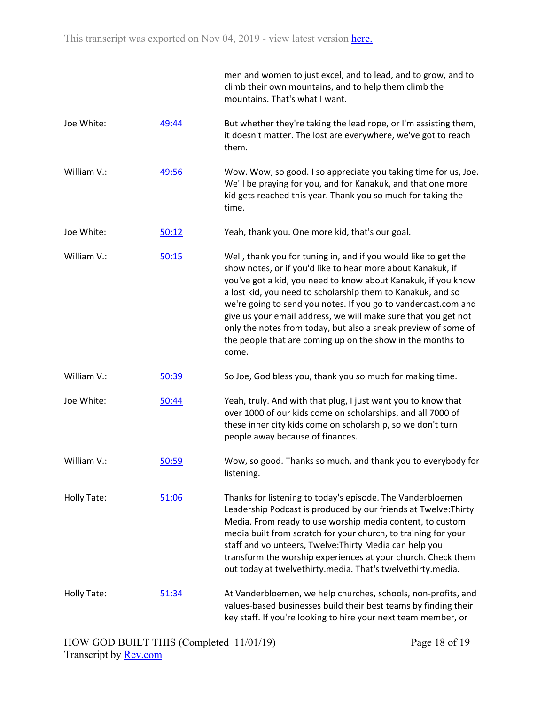|             |       | men and women to just excel, and to lead, and to grow, and to<br>climb their own mountains, and to help them climb the<br>mountains. That's what I want.                                                                                                                                                                                                                                                                                                                                                                                    |
|-------------|-------|---------------------------------------------------------------------------------------------------------------------------------------------------------------------------------------------------------------------------------------------------------------------------------------------------------------------------------------------------------------------------------------------------------------------------------------------------------------------------------------------------------------------------------------------|
| Joe White:  | 49:44 | But whether they're taking the lead rope, or I'm assisting them,<br>it doesn't matter. The lost are everywhere, we've got to reach<br>them.                                                                                                                                                                                                                                                                                                                                                                                                 |
| William V.: | 49:56 | Wow. Wow, so good. I so appreciate you taking time for us, Joe.<br>We'll be praying for you, and for Kanakuk, and that one more<br>kid gets reached this year. Thank you so much for taking the<br>time.                                                                                                                                                                                                                                                                                                                                    |
| Joe White:  | 50:12 | Yeah, thank you. One more kid, that's our goal.                                                                                                                                                                                                                                                                                                                                                                                                                                                                                             |
| William V.: | 50:15 | Well, thank you for tuning in, and if you would like to get the<br>show notes, or if you'd like to hear more about Kanakuk, if<br>you've got a kid, you need to know about Kanakuk, if you know<br>a lost kid, you need to scholarship them to Kanakuk, and so<br>we're going to send you notes. If you go to vandercast.com and<br>give us your email address, we will make sure that you get not<br>only the notes from today, but also a sneak preview of some of<br>the people that are coming up on the show in the months to<br>come. |
| William V.: | 50:39 | So Joe, God bless you, thank you so much for making time.                                                                                                                                                                                                                                                                                                                                                                                                                                                                                   |
| Joe White:  | 50:44 | Yeah, truly. And with that plug, I just want you to know that<br>over 1000 of our kids come on scholarships, and all 7000 of<br>these inner city kids come on scholarship, so we don't turn<br>people away because of finances.                                                                                                                                                                                                                                                                                                             |
| William V.: | 50:59 | Wow, so good. Thanks so much, and thank you to everybody for<br>listening.                                                                                                                                                                                                                                                                                                                                                                                                                                                                  |
| Holly Tate: | 51:06 | Thanks for listening to today's episode. The Vanderbloemen<br>Leadership Podcast is produced by our friends at Twelve: Thirty<br>Media. From ready to use worship media content, to custom<br>media built from scratch for your church, to training for your<br>staff and volunteers, Twelve: Thirty Media can help you<br>transform the worship experiences at your church. Check them<br>out today at twelvethirty.media. That's twelvethirty.media.                                                                                      |
| Holly Tate: | 51:34 | At Vanderbloemen, we help churches, schools, non-profits, and<br>values-based businesses build their best teams by finding their<br>key staff. If you're looking to hire your next team member, or                                                                                                                                                                                                                                                                                                                                          |